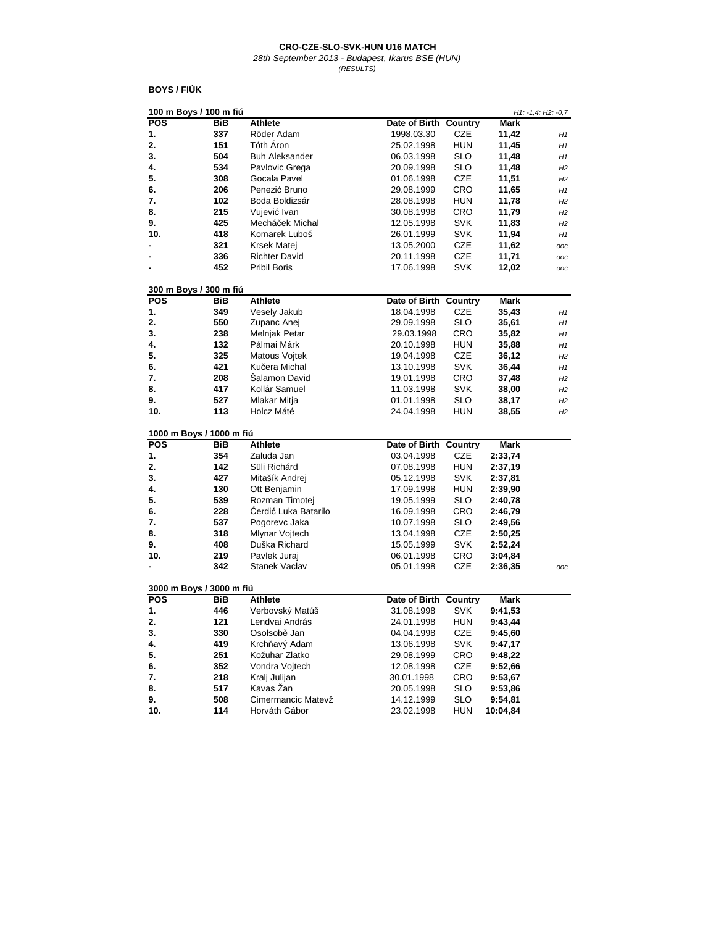28th September 2013 - Budapest, Ikarus BSE (HUN) (RESULTS)

## **BOYS / FIÚK**

| 100 m Boys / 100 m fiú   |     |                             |                       |            |             | $H1: -1, 4; H2: -0, 7$ |
|--------------------------|-----|-----------------------------|-----------------------|------------|-------------|------------------------|
| <b>POS</b>               | BiB | <b>Athlete</b>              | Date of Birth Country |            | Mark        |                        |
| 1.                       | 337 | Röder Adam                  | 1998.03.30            | <b>CZE</b> | 11,42       | H1                     |
| 2.                       | 151 | Tóth Áron                   | 25.02.1998            | <b>HUN</b> | 11,45       | H1                     |
| 3.                       | 504 | <b>Buh Aleksander</b>       | 06.03.1998            | SLO        | 11,48       | H1                     |
| 4.                       | 534 | Pavlovic Grega              | 20.09.1998            | SLO        | 11,48       | H2                     |
| 5.                       | 308 | Gocala Pavel                | 01.06.1998            | <b>CZE</b> | 11,51       | H2                     |
| 6.                       | 206 | Penezić Bruno               | 29.08.1999            | CRO        | 11,65       | H1                     |
| 7.                       | 102 | Boda Boldizsár              | 28.08.1998            | <b>HUN</b> | 11,78       | H2                     |
| 8.                       | 215 | Vujević Ivan                | 30.08.1998            | CRO        | 11,79       | H2                     |
| 9.                       | 425 | Mecháček Michal             | 12.05.1998            | <b>SVK</b> | 11,83       | H2                     |
| 10.                      | 418 | Komarek Luboš               | 26.01.1999            | SVK        | 11,94       | H1                     |
|                          | 321 | Krsek Matej                 | 13.05.2000            | <b>CZE</b> | 11,62       | ooc                    |
|                          | 336 | <b>Richter David</b>        | 20.11.1998            | <b>CZE</b> | 11,71       | ooc                    |
|                          | 452 | <b>Pribil Boris</b>         | 17.06.1998            | SVK        | 12,02       | ooc                    |
|                          |     |                             |                       |            |             |                        |
| 300 m Boys / 300 m fiú   |     |                             |                       |            |             |                        |
| <b>POS</b>               | BiB | <b>Athlete</b>              | Date of Birth Country |            | Mark        |                        |
| 1.                       | 349 | Vesely Jakub                | 18.04.1998            | CZE        | 35,43       | H1                     |
| 2.                       | 550 | Zupanc Anej                 | 29.09.1998            | <b>SLO</b> | 35,61       | H1                     |
| 3.                       | 238 | <b>Melnjak Petar</b>        | 29.03.1998            | CRO        | 35,82       | H1                     |
| 4.                       | 132 | Pálmai Márk                 | 20.10.1998            | HUN        | 35,88       | H1                     |
| 5.                       | 325 | Matous Vojtek               | 19.04.1998            | CZE        | 36,12       | H2                     |
| 6.                       | 421 | Kučera Michal               | 13.10.1998            | <b>SVK</b> | 36,44       | H1                     |
| 7.                       | 208 | Salamon David               | 19.01.1998            | CRO        | 37,48       | H2                     |
| 8.                       | 417 | Kollár Samuel               | 11.03.1998            | <b>SVK</b> | 38,00       | H2                     |
| 9.                       | 527 | Mlakar Mitja                | 01.01.1998            | SLO        | 38,17       | H2                     |
| 10.                      | 113 | Holcz Máté                  | 24.04.1998            | <b>HUN</b> | 38,55       | H2                     |
|                          |     |                             |                       |            |             |                        |
| 1000 m Boys / 1000 m fiú |     |                             |                       |            |             |                        |
| <b>POS</b>               | BiB | <b>Athlete</b>              | Date of Birth         | Country    | Mark        |                        |
| 1.                       | 354 | Zaluda Jan                  | 03.04.1998            | CZE        | 2:33,74     |                        |
| 2.                       | 142 | Süli Richárd                | 07.08.1998            | <b>HUN</b> | 2:37,19     |                        |
| 3.                       | 427 | Mitašík Andrej              | 05.12.1998            | SVK        | 2:37,81     |                        |
| 4.                       | 130 | Ott Benjamin                | 17.09.1998            | <b>HUN</b> | 2:39,90     |                        |
| 5.                       | 539 | Rozman Timotej              | 19.05.1999            | <b>SLO</b> | 2:40,78     |                        |
| 6.                       | 228 | <b>Cerdić Luka Batarilo</b> | 16.09.1998            | CRO        | 2:46,79     |                        |
| 7.                       | 537 | Pogorevc Jaka               | 10.07.1998            | <b>SLO</b> | 2:49,56     |                        |
| 8.                       | 318 | Mlynar Voitech              | 13.04.1998            | <b>CZE</b> | 2:50,25     |                        |
| 9.                       | 408 | Duška Richard               | 15.05.1999            | <b>SVK</b> | 2:52,24     |                        |
| 10.                      | 219 | Pavlek Juraj                | 06.01.1998            | CRO        | 3:04,84     |                        |
| ٠                        | 342 | <b>Stanek Vaclav</b>        | 05.01.1998            | <b>CZE</b> | 2:36,35     | OOC                    |
|                          |     |                             |                       |            |             |                        |
| 3000 m Boys / 3000 m fiú |     |                             |                       |            |             |                        |
| <b>POS</b>               | BiB | <b>Athlete</b>              | Date of Birth Country |            | <b>Mark</b> |                        |
| 1.                       | 446 | Verbovský Matúš             | 31.08.1998            | SVK        | 9:41,53     |                        |
| 2.                       | 121 | Lendvai András              | 24.01.1998            | <b>HUN</b> | 9:43,44     |                        |
| 3.                       | 330 | Osolsobě Jan                | 04.04.1998            | CZE        | 9:45,60     |                        |
| 4.                       | 419 | Krchňavý Adam               | 13.06.1998            | SVK        | 9:47,17     |                        |
| 5.                       | 251 | Kožuhar Zlatko              | 29.08.1999            | CRO        | 9:48,22     |                        |
| 6.                       | 352 | Vondra Voitech              | 12.08.1998            | <b>CZE</b> | 9:52,66     |                        |
| 7.                       | 218 | Kralj Julijan               | 30.01.1998            | CRO        | 9:53,67     |                        |
| 8.                       | 517 | Kavas Žan                   | 20.05.1998            | <b>SLO</b> | 9:53,86     |                        |
| 9.                       | 508 | Cimermancic Matevž          | 14.12.1999            | SLO        | 9:54,81     |                        |
| 10.                      | 114 | Horváth Gábor               | 23.02.1998            | <b>HUN</b> | 10:04,84    |                        |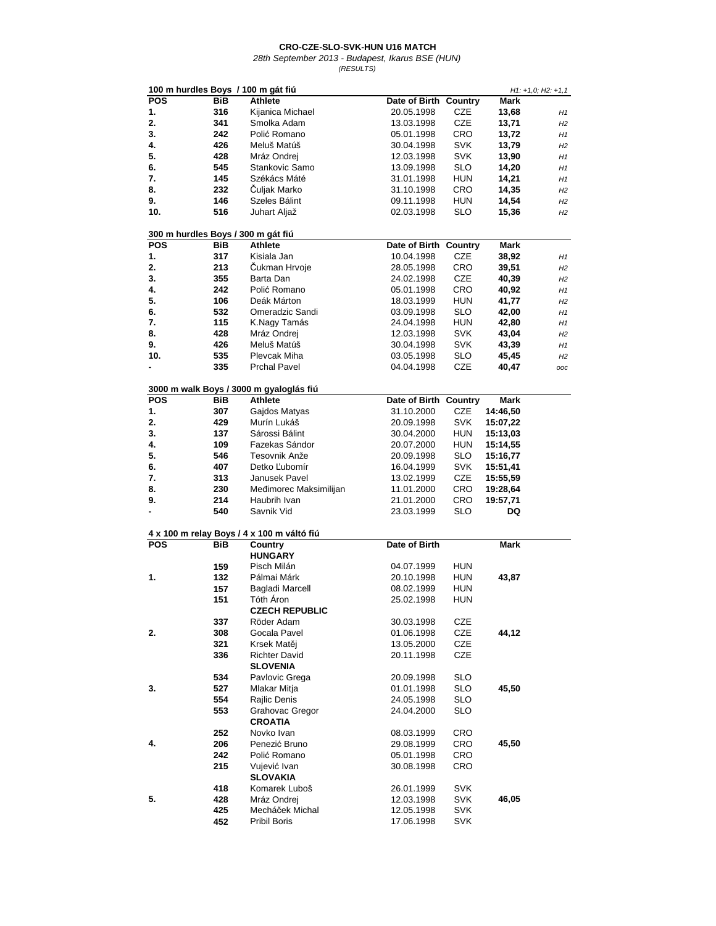| (RESULTS) |  |
|-----------|--|
|           |  |

|                |            | 100 m hurdles Boys / 100 m gát fiú         |                       |            |             | $H1: +1, 0; H2: +1, 1$ |
|----------------|------------|--------------------------------------------|-----------------------|------------|-------------|------------------------|
| <b>POS</b>     | <b>BiB</b> | Athlete                                    | Date of Birth Country |            | <b>Mark</b> |                        |
| 1.             | 316        | Kijanica Michael                           | 20.05.1998            | <b>CZE</b> | 13,68       | H1                     |
| 2.             | 341        | Smolka Adam                                | 13.03.1998            | CZE        | 13,71       |                        |
|                |            |                                            |                       |            |             | H2                     |
| 3.             | 242        | Polić Romano                               | 05.01.1998            | CRO        | 13,72       | H1                     |
| 4.             | 426        | Meluš Matúš                                | 30.04.1998            | <b>SVK</b> | 13,79       | H2                     |
| 5.             | 428        | Mráz Ondrej                                | 12.03.1998            | <b>SVK</b> | 13,90       | H1                     |
| 6.             | 545        | Stankovic Samo                             | 13.09.1998            | SLO        | 14,20       | H1                     |
| 7.             | 145        | Székács Máté                               | 31.01.1998            | <b>HUN</b> | 14,21       | H1                     |
| 8.             | 232        | Culjak Marko                               | 31.10.1998            | CRO        | 14,35       | H2                     |
| 9.             | 146        | Szeles Bálint                              | 09.11.1998            | HUN        | 14,54       | H2                     |
| 10.            | 516        | Juhart Aljaž                               | 02.03.1998            | SLO        | 15,36       | H2                     |
|                |            |                                            |                       |            |             |                        |
|                |            | 300 m hurdles Boys / 300 m gát fiú         |                       |            |             |                        |
| <b>POS</b>     | <b>BiB</b> | Athlete                                    | Date of Birth Country |            | Mark        |                        |
| 1.             | 317        | Kisiala Jan                                | 10.04.1998            | CZE        | 38,92       | H1                     |
| 2.             | 213        | Cukman Hrvoje                              | 28.05.1998            | CRO        | 39,51       | H2                     |
| 3.             | 355        | Barta Dan                                  | 24.02.1998            | CZE        | 40,39       | H2                     |
| 4.             | 242        | Polić Romano                               | 05.01.1998            | CRO        | 40,92       | H1                     |
| 5.             | 106        | Deák Márton                                | 18.03.1999            | <b>HUN</b> | 41,77       | H2                     |
| 6.             | 532        | Omeradzic Sandi                            | 03.09.1998            | SLO        | 42,00       | H1                     |
| 7.             | 115        | K.Nagy Tamás                               | 24.04.1998            | <b>HUN</b> | 42,80       | H1                     |
| 8.             | 428        | Mráz Ondrej                                | 12.03.1998            | SVK        | 43,04       | H2                     |
| 9.             | 426        | Meluš Matúš                                | 30.04.1998            | SVK        | 43,39       | H1                     |
| 10.            | 535        | Plevcak Miha                               | 03.05.1998            | SLO        | 45,45       | H2                     |
|                | 335        | <b>Prchal Pavel</b>                        | 04.04.1998            | CZE        | 40,47       | ooc                    |
|                |            |                                            |                       |            |             |                        |
|                |            | 3000 m walk Boys / 3000 m gyaloglás fiú    |                       |            |             |                        |
| <b>POS</b>     | BiB        | <b>Athlete</b>                             | Date of Birth Country |            | Mark        |                        |
| 1.             | 307        | Gajdos Matyas                              | 31.10.2000            | CZE        | 14:46,50    |                        |
| 2.             | 429        | Murín Lukáš                                | 20.09.1998            | <b>SVK</b> | 15:07,22    |                        |
| 3.             | 137        | Sárossi Bálint                             | 30.04.2000            | <b>HUN</b> | 15:13,03    |                        |
| 4.             | 109        | Fazekas Sándor                             | 20.07.2000            | <b>HUN</b> | 15:14,55    |                        |
| 5.             | 546        | Tesovnik Anže                              | 20.09.1998            | <b>SLO</b> | 15:16,77    |                        |
| 6.             | 407        | Detko Ľubomír                              | 16.04.1999            | SVK        | 15:51,41    |                        |
| 7.             | 313        | Janusek Pavel                              | 13.02.1999            | CZE        | 15:55,59    |                        |
| 8.             | 230        | Međimorec Maksimilijan                     | 11.01.2000            | CRO        | 19:28,64    |                        |
| 9.             | 214        | Haubrih Ivan                               | 21.01.2000            | CRO        | 19:57,71    |                        |
| $\blacksquare$ | 540        | Savnik Vid                                 | 23.03.1999            | SLO        | DQ          |                        |
|                |            |                                            |                       |            |             |                        |
|                |            | 4 x 100 m relay Boys / 4 x 100 m váltó fiú |                       |            |             |                        |
| <b>POS</b>     | BiB        | Country<br><b>HUNGARY</b>                  | Date of Birth         |            | Mark        |                        |
|                |            | Pisch Milán                                |                       |            |             |                        |
|                | 159        |                                            | 04.07.1999            | HUN        |             |                        |
| 1.             | 132        | Pálmai Márk                                | 20.10.1998            | <b>HUN</b> | 43,87       |                        |
|                | 157        | <b>Bagladi Marcell</b>                     | 08.02.1999            | <b>HUN</b> |             |                        |
|                | 151        | Tóth Áron                                  | 25.02.1998            | <b>HUN</b> |             |                        |
|                |            | <b>CZECH REPUBLIC</b>                      |                       |            |             |                        |
|                | 337        | Röder Adam                                 | 30.03.1998            | CZE        |             |                        |
| 2.             | 308        | Gocala Pavel                               | 01.06.1998            | CZE        | 44,12       |                        |
|                | 321        | Krsek Matěj                                | 13.05.2000            | CZE        |             |                        |
|                | 336        | <b>Richter David</b>                       | 20.11.1998            | CZE        |             |                        |
|                |            | <b>SLOVENIA</b>                            |                       |            |             |                        |
|                | 534        | Pavlovic Grega                             | 20.09.1998            | SLO        |             |                        |
| 3.             | 527        | Mlakar Mitja                               | 01.01.1998            | <b>SLO</b> | 45,50       |                        |
|                | 554        | Rajlic Denis                               | 24.05.1998            | <b>SLO</b> |             |                        |
|                | 553        | <b>Grahovac Gregor</b>                     | 24.04.2000            | SLO        |             |                        |
|                |            |                                            |                       |            |             |                        |
|                |            | <b>CROATIA</b>                             |                       |            |             |                        |
|                | 252        | Novko Ivan                                 | 08.03.1999            | <b>CRO</b> |             |                        |
| 4.             | 206        | Penezić Bruno                              | 29.08.1999            | CRO        | 45,50       |                        |
|                | 242        | Polić Romano                               | 05.01.1998            | CRO        |             |                        |
|                | 215        | Vujević Ivan                               | 30.08.1998            | CRO        |             |                        |
|                |            | <b>SLOVAKIA</b>                            |                       |            |             |                        |
|                | 418        | Komarek Luboš                              | 26.01.1999            | SVK        |             |                        |
| 5.             | 428        | Mráz Ondrej                                | 12.03.1998            | SVK        | 46,05       |                        |
|                | 425        | Mecháček Michal                            | 12.05.1998            | SVK        |             |                        |
|                | 452        | Pribil Boris                               | 17.06.1998            | <b>SVK</b> |             |                        |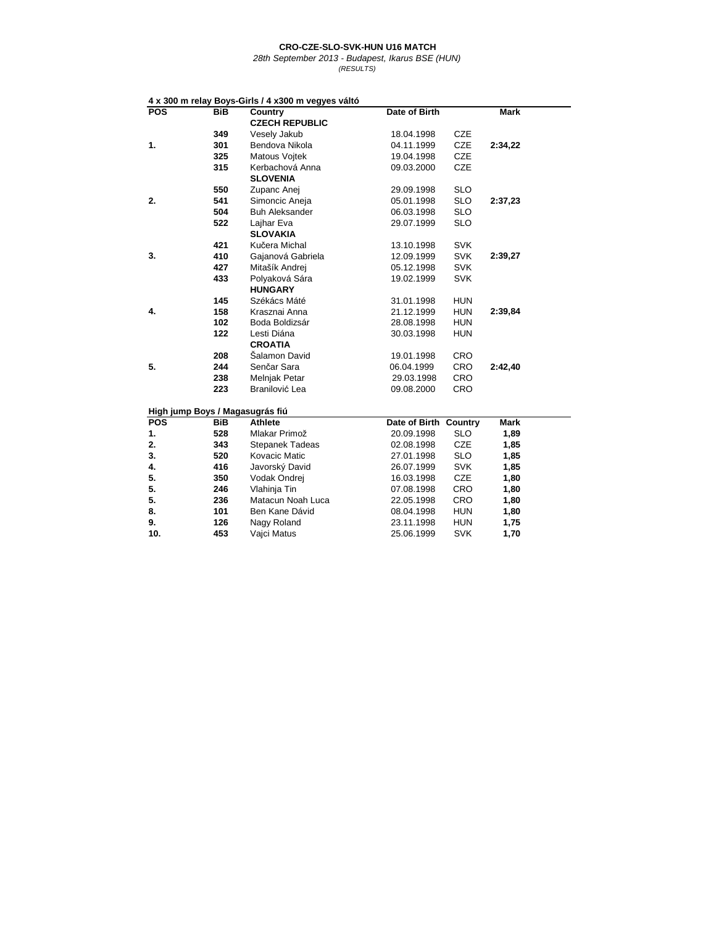28th September 2013 - Budapest, Ikarus BSE (HUN) (RESULTS)

**4 x 300 m relay Boys-Girls / 4 x300 m vegyes váltó POSTER BIB Country Date of Birth Mark CZECH REPUBLIC 349** Vesely Jakub 18.04.1998 CZE **301** Bendova Nikola 04.11.1999 CZE **325** Matous Vojtek 19.04.1998 CZE Kerbachová Anna **SLOVENIA 550** Zupanc Anej 29.09.1998 SLO **541** Simoncic Aneja 05.01.1998 SLO **504** Buh Aleksander **18.1998** SLO<br> **522** Laihar Eva **18.1999** SLO **522** Lajhar Eva 29.07.1999 SLO **SLOVAKIA 421** Kučera Michal 13.10.1998 SVK<br>**410** Gajanová Gabriela 12.09.1999 SVK 410 Gajanová Gabriela<br>**427** Mitašík Andrei **427** Mitašík Andrej 05.12.1998 SVK Polyaková Sára **HUNGARY 145** Székács Máté 31.01.1998 HUN **158** Krasznai Anna 21.12.1999 HUN **102** Boda Boldizsár 28.08.1998 HUN **122** Lesti Diána 30.03.1998 HUN **CROATIA 208** Šalamon David 19.01.1998 CRO **244** Senčar Sara 06.04.1999 CRO **Melnjak Petar 223** Branilović Lea 09.08.2000 CRO **High jump Boys / Magasugrás fiú POS** BiB Athlete Date of Birth Country Mark<br>1. 528 Mlakar Primož 20.09.1998 SLO 1,89 **1. 528** Mlakar Primož 20.09.1998 SLO **1,89 2.08.1998 CZE**<br> **27.01.1998 SLO**<br> **27.01.1998 SLO 3. 520** Kovacic Matic 27.01.1998 SLO **1,85 4. 416** Javorský David 26.07.1999 SVK **1,85 5. 350** Vodak Ondrej 16.03.1998 CZE **1,80 5. 246** Vlahinja Tin 07.08.1998 CRO **1,80**<br>**5. 236** Matacun Noah Luca 22.05.1998 CRO **1,80 Matacun Noah Luca 8. 101** Ben Kane Dávid 08.04.1998 HUN **1,80 9.** 126 Nagy Roland 23.11.1998 **10. 453** Vajci Matus 25.06.1999 SVK **1,70 5. 2:34,22 2:37,23 2:39,27 2:39,84 2:42,40 1. 2. 3. 4.**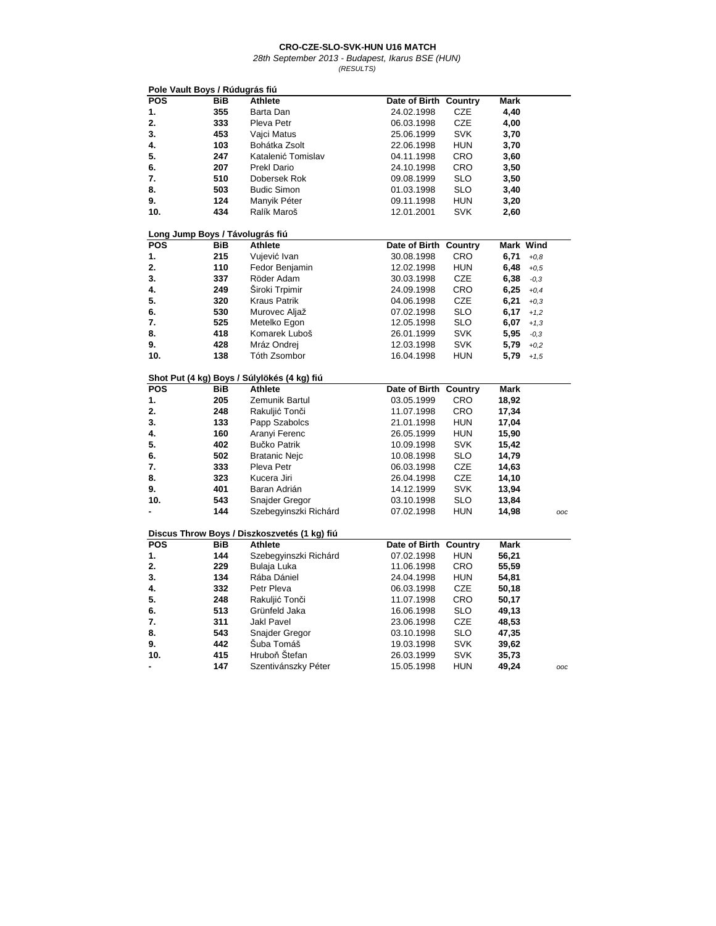| <b>POS</b><br><b>BiB</b><br><b>Athlete</b><br>Date of Birth Country<br>Mark<br>355<br>4,40<br>1.<br>Barta Dan<br>24.02.1998<br>CZE<br>2.<br>333<br>Pleva Petr<br><b>CZE</b><br>06.03.1998<br>4,00<br>3.<br>453<br><b>SVK</b><br>Vajci Matus<br>25.06.1999<br>3,70<br>103<br>4.<br>Bohátka Zsolt<br>22.06.1998<br>HUN<br>3,70<br>5.<br>247<br>Katalenić Tomislav<br>04.11.1998<br>CRO<br>3,60<br>6.<br>207<br>CRO<br>3,50<br><b>Prekl Dario</b><br>24.10.1998<br>7.<br>510<br>Dobersek Rok<br>SLO<br>3,50<br>09.08.1999<br>8.<br>503<br><b>Budic Simon</b><br>SLO<br>3,40<br>01.03.1998<br>124<br>9.<br>Manyik Péter<br><b>HUN</b><br>09.11.1998<br>3,20<br>434<br>10.<br>Ralík Maroš<br>12.01.2001<br><b>SVK</b><br>2,60<br>Long Jump Boys / Távolugrás fiú<br><b>POS</b><br>Mark Wind<br>BiB<br><b>Athlete</b><br>Date of Birth Country<br>1.<br>215<br>CRO<br>Vujević Ivan<br>30.08.1998<br>6,71<br>$+0,8$<br>2.<br>110<br>6,48<br>Fedor Benjamin<br>12.02.1998<br><b>HUN</b><br>$+0,5$<br>3.<br>337<br>Röder Adam<br>CZE<br>6,38<br>30.03.1998<br>$-0,3$<br>249<br>Siroki Trpimir<br>4.<br>CRO<br>6,25<br>24.09.1998<br>$+0,4$<br>5.<br>320<br><b>Kraus Patrik</b><br>CZE<br>6,21<br>04.06.1998<br>$+0,3$<br>530<br>SLO<br>6.<br>Murovec Aljaž<br>07.02.1998<br>6,17<br>$+1,2$<br>7.<br>525<br>6,07<br>Metelko Egon<br>12.05.1998<br>SLO<br>$+1,3$<br>8.<br>5,95<br>418<br>Komarek Luboš<br>26.01.1999<br>SVK<br>$-0,3$<br>9.<br>428<br>Mráz Ondrej<br><b>SVK</b><br>12.03.1998<br>5,79<br>$+0,2$<br>Tóth Zsombor<br>10.<br>138<br>16.04.1998<br><b>HUN</b><br>5,79<br>$+1,5$<br>Shot Put (4 kg) Boys / Súlylökés (4 kg) fiú<br><b>POS</b><br>BiB<br><b>Athlete</b><br>Date of Birth Country<br>Mark<br>1.<br>205<br>03.05.1999<br>CRO<br>18,92<br>Zemunik Bartul<br>2.<br>248<br>Rakuljić Tonči<br>11.07.1998<br><b>CRO</b><br>17,34<br>3.<br>133<br>Papp Szabolcs<br>21.01.1998<br>HUN<br>17,04<br>4.<br>160<br>Aranyi Ferenc<br>26.05.1999<br>HUN<br>15,90<br>5.<br>402<br><b>Bučko Patrik</b><br>SVK<br>15,42<br>10.09.1998<br>502<br><b>SLO</b><br>6.<br><b>Bratanic Nejc</b><br>14,79<br>10.08.1998<br>7.<br>333<br>Pleva Petr<br>06.03.1998<br>CZE<br>14,63<br>323<br>CZE<br>8.<br>Kucera Jiri<br>14,10<br>26.04.1998<br>9.<br>401<br>Baran Adrián<br>14.12.1999<br>SVK<br>13,94<br>543<br>Snajder Gregor<br>10.<br>03.10.1998<br>SLO<br>13,84<br>144<br><b>HUN</b><br>Szebegyinszki Richárd<br>07.02.1998<br>14,98<br>OOC<br>Discus Throw Boys / Diszkoszvetés (1 kg) fiú<br><b>POS</b><br>BiB<br><b>Athlete</b><br>Date of Birth<br>Country<br>Mark<br><b>HUN</b><br>1.<br>144<br>Szebegyinszki Richárd<br>56,21<br>07.02.1998<br>2.<br>229<br>CRO<br>Bulaja Luka<br>11.06.1998<br>55,59<br>3.<br>134<br>Rába Dániel<br>24.04.1998<br><b>HUN</b><br>54,81<br>332<br><b>CZE</b><br>4.<br>Petr Pleva<br>06.03.1998<br>50,18<br>5.<br>248<br>CRO<br>Rakuljić Tonči<br>11.07.1998<br>50,17<br>6.<br>513<br>Grünfeld Jaka<br>SLO<br>16.06.1998<br>49,13<br>7.<br>311<br><b>Jakl Pavel</b><br><b>CZE</b><br>23.06.1998<br>48,53<br>543<br>Snajder Gregor<br>8.<br>03.10.1998<br>SLO<br>47,35<br>9.<br>442<br>Suba Tomáš<br>19.03.1998<br>SVK<br>39,62<br>415<br>Hruboň Štefan<br>10.<br>26.03.1999<br>SVK<br>35,73<br>147<br>Szentivánszky Péter<br><b>HUN</b><br>49,24<br>15.05.1998<br>÷<br>OOC | Pole Vault Boys / Rúdugrás fiú |  |  |  |  |
|---------------------------------------------------------------------------------------------------------------------------------------------------------------------------------------------------------------------------------------------------------------------------------------------------------------------------------------------------------------------------------------------------------------------------------------------------------------------------------------------------------------------------------------------------------------------------------------------------------------------------------------------------------------------------------------------------------------------------------------------------------------------------------------------------------------------------------------------------------------------------------------------------------------------------------------------------------------------------------------------------------------------------------------------------------------------------------------------------------------------------------------------------------------------------------------------------------------------------------------------------------------------------------------------------------------------------------------------------------------------------------------------------------------------------------------------------------------------------------------------------------------------------------------------------------------------------------------------------------------------------------------------------------------------------------------------------------------------------------------------------------------------------------------------------------------------------------------------------------------------------------------------------------------------------------------------------------------------------------------------------------------------------------------------------------------------------------------------------------------------------------------------------------------------------------------------------------------------------------------------------------------------------------------------------------------------------------------------------------------------------------------------------------------------------------------------------------------------------------------------------------------------------------------------------------------------------------------------------------------------------------------------------------------------------------------------------------------------------------------------------------------------------------------------------------------------------------------------------------------------------------------------------------------------------------------------------------------------------------------------------------------------------------------------------------------------------------------------------------------------------------------------------------------------------------------------------------------------------------------------------------------------------------------------------------|--------------------------------|--|--|--|--|
|                                                                                                                                                                                                                                                                                                                                                                                                                                                                                                                                                                                                                                                                                                                                                                                                                                                                                                                                                                                                                                                                                                                                                                                                                                                                                                                                                                                                                                                                                                                                                                                                                                                                                                                                                                                                                                                                                                                                                                                                                                                                                                                                                                                                                                                                                                                                                                                                                                                                                                                                                                                                                                                                                                                                                                                                                                                                                                                                                                                                                                                                                                                                                                                                                                                                                                         |                                |  |  |  |  |
|                                                                                                                                                                                                                                                                                                                                                                                                                                                                                                                                                                                                                                                                                                                                                                                                                                                                                                                                                                                                                                                                                                                                                                                                                                                                                                                                                                                                                                                                                                                                                                                                                                                                                                                                                                                                                                                                                                                                                                                                                                                                                                                                                                                                                                                                                                                                                                                                                                                                                                                                                                                                                                                                                                                                                                                                                                                                                                                                                                                                                                                                                                                                                                                                                                                                                                         |                                |  |  |  |  |
|                                                                                                                                                                                                                                                                                                                                                                                                                                                                                                                                                                                                                                                                                                                                                                                                                                                                                                                                                                                                                                                                                                                                                                                                                                                                                                                                                                                                                                                                                                                                                                                                                                                                                                                                                                                                                                                                                                                                                                                                                                                                                                                                                                                                                                                                                                                                                                                                                                                                                                                                                                                                                                                                                                                                                                                                                                                                                                                                                                                                                                                                                                                                                                                                                                                                                                         |                                |  |  |  |  |
|                                                                                                                                                                                                                                                                                                                                                                                                                                                                                                                                                                                                                                                                                                                                                                                                                                                                                                                                                                                                                                                                                                                                                                                                                                                                                                                                                                                                                                                                                                                                                                                                                                                                                                                                                                                                                                                                                                                                                                                                                                                                                                                                                                                                                                                                                                                                                                                                                                                                                                                                                                                                                                                                                                                                                                                                                                                                                                                                                                                                                                                                                                                                                                                                                                                                                                         |                                |  |  |  |  |
|                                                                                                                                                                                                                                                                                                                                                                                                                                                                                                                                                                                                                                                                                                                                                                                                                                                                                                                                                                                                                                                                                                                                                                                                                                                                                                                                                                                                                                                                                                                                                                                                                                                                                                                                                                                                                                                                                                                                                                                                                                                                                                                                                                                                                                                                                                                                                                                                                                                                                                                                                                                                                                                                                                                                                                                                                                                                                                                                                                                                                                                                                                                                                                                                                                                                                                         |                                |  |  |  |  |
|                                                                                                                                                                                                                                                                                                                                                                                                                                                                                                                                                                                                                                                                                                                                                                                                                                                                                                                                                                                                                                                                                                                                                                                                                                                                                                                                                                                                                                                                                                                                                                                                                                                                                                                                                                                                                                                                                                                                                                                                                                                                                                                                                                                                                                                                                                                                                                                                                                                                                                                                                                                                                                                                                                                                                                                                                                                                                                                                                                                                                                                                                                                                                                                                                                                                                                         |                                |  |  |  |  |
|                                                                                                                                                                                                                                                                                                                                                                                                                                                                                                                                                                                                                                                                                                                                                                                                                                                                                                                                                                                                                                                                                                                                                                                                                                                                                                                                                                                                                                                                                                                                                                                                                                                                                                                                                                                                                                                                                                                                                                                                                                                                                                                                                                                                                                                                                                                                                                                                                                                                                                                                                                                                                                                                                                                                                                                                                                                                                                                                                                                                                                                                                                                                                                                                                                                                                                         |                                |  |  |  |  |
|                                                                                                                                                                                                                                                                                                                                                                                                                                                                                                                                                                                                                                                                                                                                                                                                                                                                                                                                                                                                                                                                                                                                                                                                                                                                                                                                                                                                                                                                                                                                                                                                                                                                                                                                                                                                                                                                                                                                                                                                                                                                                                                                                                                                                                                                                                                                                                                                                                                                                                                                                                                                                                                                                                                                                                                                                                                                                                                                                                                                                                                                                                                                                                                                                                                                                                         |                                |  |  |  |  |
|                                                                                                                                                                                                                                                                                                                                                                                                                                                                                                                                                                                                                                                                                                                                                                                                                                                                                                                                                                                                                                                                                                                                                                                                                                                                                                                                                                                                                                                                                                                                                                                                                                                                                                                                                                                                                                                                                                                                                                                                                                                                                                                                                                                                                                                                                                                                                                                                                                                                                                                                                                                                                                                                                                                                                                                                                                                                                                                                                                                                                                                                                                                                                                                                                                                                                                         |                                |  |  |  |  |
|                                                                                                                                                                                                                                                                                                                                                                                                                                                                                                                                                                                                                                                                                                                                                                                                                                                                                                                                                                                                                                                                                                                                                                                                                                                                                                                                                                                                                                                                                                                                                                                                                                                                                                                                                                                                                                                                                                                                                                                                                                                                                                                                                                                                                                                                                                                                                                                                                                                                                                                                                                                                                                                                                                                                                                                                                                                                                                                                                                                                                                                                                                                                                                                                                                                                                                         |                                |  |  |  |  |
|                                                                                                                                                                                                                                                                                                                                                                                                                                                                                                                                                                                                                                                                                                                                                                                                                                                                                                                                                                                                                                                                                                                                                                                                                                                                                                                                                                                                                                                                                                                                                                                                                                                                                                                                                                                                                                                                                                                                                                                                                                                                                                                                                                                                                                                                                                                                                                                                                                                                                                                                                                                                                                                                                                                                                                                                                                                                                                                                                                                                                                                                                                                                                                                                                                                                                                         |                                |  |  |  |  |
|                                                                                                                                                                                                                                                                                                                                                                                                                                                                                                                                                                                                                                                                                                                                                                                                                                                                                                                                                                                                                                                                                                                                                                                                                                                                                                                                                                                                                                                                                                                                                                                                                                                                                                                                                                                                                                                                                                                                                                                                                                                                                                                                                                                                                                                                                                                                                                                                                                                                                                                                                                                                                                                                                                                                                                                                                                                                                                                                                                                                                                                                                                                                                                                                                                                                                                         |                                |  |  |  |  |
|                                                                                                                                                                                                                                                                                                                                                                                                                                                                                                                                                                                                                                                                                                                                                                                                                                                                                                                                                                                                                                                                                                                                                                                                                                                                                                                                                                                                                                                                                                                                                                                                                                                                                                                                                                                                                                                                                                                                                                                                                                                                                                                                                                                                                                                                                                                                                                                                                                                                                                                                                                                                                                                                                                                                                                                                                                                                                                                                                                                                                                                                                                                                                                                                                                                                                                         |                                |  |  |  |  |
|                                                                                                                                                                                                                                                                                                                                                                                                                                                                                                                                                                                                                                                                                                                                                                                                                                                                                                                                                                                                                                                                                                                                                                                                                                                                                                                                                                                                                                                                                                                                                                                                                                                                                                                                                                                                                                                                                                                                                                                                                                                                                                                                                                                                                                                                                                                                                                                                                                                                                                                                                                                                                                                                                                                                                                                                                                                                                                                                                                                                                                                                                                                                                                                                                                                                                                         |                                |  |  |  |  |
|                                                                                                                                                                                                                                                                                                                                                                                                                                                                                                                                                                                                                                                                                                                                                                                                                                                                                                                                                                                                                                                                                                                                                                                                                                                                                                                                                                                                                                                                                                                                                                                                                                                                                                                                                                                                                                                                                                                                                                                                                                                                                                                                                                                                                                                                                                                                                                                                                                                                                                                                                                                                                                                                                                                                                                                                                                                                                                                                                                                                                                                                                                                                                                                                                                                                                                         |                                |  |  |  |  |
|                                                                                                                                                                                                                                                                                                                                                                                                                                                                                                                                                                                                                                                                                                                                                                                                                                                                                                                                                                                                                                                                                                                                                                                                                                                                                                                                                                                                                                                                                                                                                                                                                                                                                                                                                                                                                                                                                                                                                                                                                                                                                                                                                                                                                                                                                                                                                                                                                                                                                                                                                                                                                                                                                                                                                                                                                                                                                                                                                                                                                                                                                                                                                                                                                                                                                                         |                                |  |  |  |  |
|                                                                                                                                                                                                                                                                                                                                                                                                                                                                                                                                                                                                                                                                                                                                                                                                                                                                                                                                                                                                                                                                                                                                                                                                                                                                                                                                                                                                                                                                                                                                                                                                                                                                                                                                                                                                                                                                                                                                                                                                                                                                                                                                                                                                                                                                                                                                                                                                                                                                                                                                                                                                                                                                                                                                                                                                                                                                                                                                                                                                                                                                                                                                                                                                                                                                                                         |                                |  |  |  |  |
|                                                                                                                                                                                                                                                                                                                                                                                                                                                                                                                                                                                                                                                                                                                                                                                                                                                                                                                                                                                                                                                                                                                                                                                                                                                                                                                                                                                                                                                                                                                                                                                                                                                                                                                                                                                                                                                                                                                                                                                                                                                                                                                                                                                                                                                                                                                                                                                                                                                                                                                                                                                                                                                                                                                                                                                                                                                                                                                                                                                                                                                                                                                                                                                                                                                                                                         |                                |  |  |  |  |
|                                                                                                                                                                                                                                                                                                                                                                                                                                                                                                                                                                                                                                                                                                                                                                                                                                                                                                                                                                                                                                                                                                                                                                                                                                                                                                                                                                                                                                                                                                                                                                                                                                                                                                                                                                                                                                                                                                                                                                                                                                                                                                                                                                                                                                                                                                                                                                                                                                                                                                                                                                                                                                                                                                                                                                                                                                                                                                                                                                                                                                                                                                                                                                                                                                                                                                         |                                |  |  |  |  |
|                                                                                                                                                                                                                                                                                                                                                                                                                                                                                                                                                                                                                                                                                                                                                                                                                                                                                                                                                                                                                                                                                                                                                                                                                                                                                                                                                                                                                                                                                                                                                                                                                                                                                                                                                                                                                                                                                                                                                                                                                                                                                                                                                                                                                                                                                                                                                                                                                                                                                                                                                                                                                                                                                                                                                                                                                                                                                                                                                                                                                                                                                                                                                                                                                                                                                                         |                                |  |  |  |  |
|                                                                                                                                                                                                                                                                                                                                                                                                                                                                                                                                                                                                                                                                                                                                                                                                                                                                                                                                                                                                                                                                                                                                                                                                                                                                                                                                                                                                                                                                                                                                                                                                                                                                                                                                                                                                                                                                                                                                                                                                                                                                                                                                                                                                                                                                                                                                                                                                                                                                                                                                                                                                                                                                                                                                                                                                                                                                                                                                                                                                                                                                                                                                                                                                                                                                                                         |                                |  |  |  |  |
|                                                                                                                                                                                                                                                                                                                                                                                                                                                                                                                                                                                                                                                                                                                                                                                                                                                                                                                                                                                                                                                                                                                                                                                                                                                                                                                                                                                                                                                                                                                                                                                                                                                                                                                                                                                                                                                                                                                                                                                                                                                                                                                                                                                                                                                                                                                                                                                                                                                                                                                                                                                                                                                                                                                                                                                                                                                                                                                                                                                                                                                                                                                                                                                                                                                                                                         |                                |  |  |  |  |
|                                                                                                                                                                                                                                                                                                                                                                                                                                                                                                                                                                                                                                                                                                                                                                                                                                                                                                                                                                                                                                                                                                                                                                                                                                                                                                                                                                                                                                                                                                                                                                                                                                                                                                                                                                                                                                                                                                                                                                                                                                                                                                                                                                                                                                                                                                                                                                                                                                                                                                                                                                                                                                                                                                                                                                                                                                                                                                                                                                                                                                                                                                                                                                                                                                                                                                         |                                |  |  |  |  |
|                                                                                                                                                                                                                                                                                                                                                                                                                                                                                                                                                                                                                                                                                                                                                                                                                                                                                                                                                                                                                                                                                                                                                                                                                                                                                                                                                                                                                                                                                                                                                                                                                                                                                                                                                                                                                                                                                                                                                                                                                                                                                                                                                                                                                                                                                                                                                                                                                                                                                                                                                                                                                                                                                                                                                                                                                                                                                                                                                                                                                                                                                                                                                                                                                                                                                                         |                                |  |  |  |  |
|                                                                                                                                                                                                                                                                                                                                                                                                                                                                                                                                                                                                                                                                                                                                                                                                                                                                                                                                                                                                                                                                                                                                                                                                                                                                                                                                                                                                                                                                                                                                                                                                                                                                                                                                                                                                                                                                                                                                                                                                                                                                                                                                                                                                                                                                                                                                                                                                                                                                                                                                                                                                                                                                                                                                                                                                                                                                                                                                                                                                                                                                                                                                                                                                                                                                                                         |                                |  |  |  |  |
|                                                                                                                                                                                                                                                                                                                                                                                                                                                                                                                                                                                                                                                                                                                                                                                                                                                                                                                                                                                                                                                                                                                                                                                                                                                                                                                                                                                                                                                                                                                                                                                                                                                                                                                                                                                                                                                                                                                                                                                                                                                                                                                                                                                                                                                                                                                                                                                                                                                                                                                                                                                                                                                                                                                                                                                                                                                                                                                                                                                                                                                                                                                                                                                                                                                                                                         |                                |  |  |  |  |
|                                                                                                                                                                                                                                                                                                                                                                                                                                                                                                                                                                                                                                                                                                                                                                                                                                                                                                                                                                                                                                                                                                                                                                                                                                                                                                                                                                                                                                                                                                                                                                                                                                                                                                                                                                                                                                                                                                                                                                                                                                                                                                                                                                                                                                                                                                                                                                                                                                                                                                                                                                                                                                                                                                                                                                                                                                                                                                                                                                                                                                                                                                                                                                                                                                                                                                         |                                |  |  |  |  |
|                                                                                                                                                                                                                                                                                                                                                                                                                                                                                                                                                                                                                                                                                                                                                                                                                                                                                                                                                                                                                                                                                                                                                                                                                                                                                                                                                                                                                                                                                                                                                                                                                                                                                                                                                                                                                                                                                                                                                                                                                                                                                                                                                                                                                                                                                                                                                                                                                                                                                                                                                                                                                                                                                                                                                                                                                                                                                                                                                                                                                                                                                                                                                                                                                                                                                                         |                                |  |  |  |  |
|                                                                                                                                                                                                                                                                                                                                                                                                                                                                                                                                                                                                                                                                                                                                                                                                                                                                                                                                                                                                                                                                                                                                                                                                                                                                                                                                                                                                                                                                                                                                                                                                                                                                                                                                                                                                                                                                                                                                                                                                                                                                                                                                                                                                                                                                                                                                                                                                                                                                                                                                                                                                                                                                                                                                                                                                                                                                                                                                                                                                                                                                                                                                                                                                                                                                                                         |                                |  |  |  |  |
|                                                                                                                                                                                                                                                                                                                                                                                                                                                                                                                                                                                                                                                                                                                                                                                                                                                                                                                                                                                                                                                                                                                                                                                                                                                                                                                                                                                                                                                                                                                                                                                                                                                                                                                                                                                                                                                                                                                                                                                                                                                                                                                                                                                                                                                                                                                                                                                                                                                                                                                                                                                                                                                                                                                                                                                                                                                                                                                                                                                                                                                                                                                                                                                                                                                                                                         |                                |  |  |  |  |
|                                                                                                                                                                                                                                                                                                                                                                                                                                                                                                                                                                                                                                                                                                                                                                                                                                                                                                                                                                                                                                                                                                                                                                                                                                                                                                                                                                                                                                                                                                                                                                                                                                                                                                                                                                                                                                                                                                                                                                                                                                                                                                                                                                                                                                                                                                                                                                                                                                                                                                                                                                                                                                                                                                                                                                                                                                                                                                                                                                                                                                                                                                                                                                                                                                                                                                         |                                |  |  |  |  |
|                                                                                                                                                                                                                                                                                                                                                                                                                                                                                                                                                                                                                                                                                                                                                                                                                                                                                                                                                                                                                                                                                                                                                                                                                                                                                                                                                                                                                                                                                                                                                                                                                                                                                                                                                                                                                                                                                                                                                                                                                                                                                                                                                                                                                                                                                                                                                                                                                                                                                                                                                                                                                                                                                                                                                                                                                                                                                                                                                                                                                                                                                                                                                                                                                                                                                                         |                                |  |  |  |  |
|                                                                                                                                                                                                                                                                                                                                                                                                                                                                                                                                                                                                                                                                                                                                                                                                                                                                                                                                                                                                                                                                                                                                                                                                                                                                                                                                                                                                                                                                                                                                                                                                                                                                                                                                                                                                                                                                                                                                                                                                                                                                                                                                                                                                                                                                                                                                                                                                                                                                                                                                                                                                                                                                                                                                                                                                                                                                                                                                                                                                                                                                                                                                                                                                                                                                                                         |                                |  |  |  |  |
|                                                                                                                                                                                                                                                                                                                                                                                                                                                                                                                                                                                                                                                                                                                                                                                                                                                                                                                                                                                                                                                                                                                                                                                                                                                                                                                                                                                                                                                                                                                                                                                                                                                                                                                                                                                                                                                                                                                                                                                                                                                                                                                                                                                                                                                                                                                                                                                                                                                                                                                                                                                                                                                                                                                                                                                                                                                                                                                                                                                                                                                                                                                                                                                                                                                                                                         |                                |  |  |  |  |
|                                                                                                                                                                                                                                                                                                                                                                                                                                                                                                                                                                                                                                                                                                                                                                                                                                                                                                                                                                                                                                                                                                                                                                                                                                                                                                                                                                                                                                                                                                                                                                                                                                                                                                                                                                                                                                                                                                                                                                                                                                                                                                                                                                                                                                                                                                                                                                                                                                                                                                                                                                                                                                                                                                                                                                                                                                                                                                                                                                                                                                                                                                                                                                                                                                                                                                         |                                |  |  |  |  |
|                                                                                                                                                                                                                                                                                                                                                                                                                                                                                                                                                                                                                                                                                                                                                                                                                                                                                                                                                                                                                                                                                                                                                                                                                                                                                                                                                                                                                                                                                                                                                                                                                                                                                                                                                                                                                                                                                                                                                                                                                                                                                                                                                                                                                                                                                                                                                                                                                                                                                                                                                                                                                                                                                                                                                                                                                                                                                                                                                                                                                                                                                                                                                                                                                                                                                                         |                                |  |  |  |  |
|                                                                                                                                                                                                                                                                                                                                                                                                                                                                                                                                                                                                                                                                                                                                                                                                                                                                                                                                                                                                                                                                                                                                                                                                                                                                                                                                                                                                                                                                                                                                                                                                                                                                                                                                                                                                                                                                                                                                                                                                                                                                                                                                                                                                                                                                                                                                                                                                                                                                                                                                                                                                                                                                                                                                                                                                                                                                                                                                                                                                                                                                                                                                                                                                                                                                                                         |                                |  |  |  |  |
|                                                                                                                                                                                                                                                                                                                                                                                                                                                                                                                                                                                                                                                                                                                                                                                                                                                                                                                                                                                                                                                                                                                                                                                                                                                                                                                                                                                                                                                                                                                                                                                                                                                                                                                                                                                                                                                                                                                                                                                                                                                                                                                                                                                                                                                                                                                                                                                                                                                                                                                                                                                                                                                                                                                                                                                                                                                                                                                                                                                                                                                                                                                                                                                                                                                                                                         |                                |  |  |  |  |
|                                                                                                                                                                                                                                                                                                                                                                                                                                                                                                                                                                                                                                                                                                                                                                                                                                                                                                                                                                                                                                                                                                                                                                                                                                                                                                                                                                                                                                                                                                                                                                                                                                                                                                                                                                                                                                                                                                                                                                                                                                                                                                                                                                                                                                                                                                                                                                                                                                                                                                                                                                                                                                                                                                                                                                                                                                                                                                                                                                                                                                                                                                                                                                                                                                                                                                         |                                |  |  |  |  |
|                                                                                                                                                                                                                                                                                                                                                                                                                                                                                                                                                                                                                                                                                                                                                                                                                                                                                                                                                                                                                                                                                                                                                                                                                                                                                                                                                                                                                                                                                                                                                                                                                                                                                                                                                                                                                                                                                                                                                                                                                                                                                                                                                                                                                                                                                                                                                                                                                                                                                                                                                                                                                                                                                                                                                                                                                                                                                                                                                                                                                                                                                                                                                                                                                                                                                                         |                                |  |  |  |  |
|                                                                                                                                                                                                                                                                                                                                                                                                                                                                                                                                                                                                                                                                                                                                                                                                                                                                                                                                                                                                                                                                                                                                                                                                                                                                                                                                                                                                                                                                                                                                                                                                                                                                                                                                                                                                                                                                                                                                                                                                                                                                                                                                                                                                                                                                                                                                                                                                                                                                                                                                                                                                                                                                                                                                                                                                                                                                                                                                                                                                                                                                                                                                                                                                                                                                                                         |                                |  |  |  |  |
|                                                                                                                                                                                                                                                                                                                                                                                                                                                                                                                                                                                                                                                                                                                                                                                                                                                                                                                                                                                                                                                                                                                                                                                                                                                                                                                                                                                                                                                                                                                                                                                                                                                                                                                                                                                                                                                                                                                                                                                                                                                                                                                                                                                                                                                                                                                                                                                                                                                                                                                                                                                                                                                                                                                                                                                                                                                                                                                                                                                                                                                                                                                                                                                                                                                                                                         |                                |  |  |  |  |
|                                                                                                                                                                                                                                                                                                                                                                                                                                                                                                                                                                                                                                                                                                                                                                                                                                                                                                                                                                                                                                                                                                                                                                                                                                                                                                                                                                                                                                                                                                                                                                                                                                                                                                                                                                                                                                                                                                                                                                                                                                                                                                                                                                                                                                                                                                                                                                                                                                                                                                                                                                                                                                                                                                                                                                                                                                                                                                                                                                                                                                                                                                                                                                                                                                                                                                         |                                |  |  |  |  |
|                                                                                                                                                                                                                                                                                                                                                                                                                                                                                                                                                                                                                                                                                                                                                                                                                                                                                                                                                                                                                                                                                                                                                                                                                                                                                                                                                                                                                                                                                                                                                                                                                                                                                                                                                                                                                                                                                                                                                                                                                                                                                                                                                                                                                                                                                                                                                                                                                                                                                                                                                                                                                                                                                                                                                                                                                                                                                                                                                                                                                                                                                                                                                                                                                                                                                                         |                                |  |  |  |  |
|                                                                                                                                                                                                                                                                                                                                                                                                                                                                                                                                                                                                                                                                                                                                                                                                                                                                                                                                                                                                                                                                                                                                                                                                                                                                                                                                                                                                                                                                                                                                                                                                                                                                                                                                                                                                                                                                                                                                                                                                                                                                                                                                                                                                                                                                                                                                                                                                                                                                                                                                                                                                                                                                                                                                                                                                                                                                                                                                                                                                                                                                                                                                                                                                                                                                                                         |                                |  |  |  |  |
|                                                                                                                                                                                                                                                                                                                                                                                                                                                                                                                                                                                                                                                                                                                                                                                                                                                                                                                                                                                                                                                                                                                                                                                                                                                                                                                                                                                                                                                                                                                                                                                                                                                                                                                                                                                                                                                                                                                                                                                                                                                                                                                                                                                                                                                                                                                                                                                                                                                                                                                                                                                                                                                                                                                                                                                                                                                                                                                                                                                                                                                                                                                                                                                                                                                                                                         |                                |  |  |  |  |
|                                                                                                                                                                                                                                                                                                                                                                                                                                                                                                                                                                                                                                                                                                                                                                                                                                                                                                                                                                                                                                                                                                                                                                                                                                                                                                                                                                                                                                                                                                                                                                                                                                                                                                                                                                                                                                                                                                                                                                                                                                                                                                                                                                                                                                                                                                                                                                                                                                                                                                                                                                                                                                                                                                                                                                                                                                                                                                                                                                                                                                                                                                                                                                                                                                                                                                         |                                |  |  |  |  |
|                                                                                                                                                                                                                                                                                                                                                                                                                                                                                                                                                                                                                                                                                                                                                                                                                                                                                                                                                                                                                                                                                                                                                                                                                                                                                                                                                                                                                                                                                                                                                                                                                                                                                                                                                                                                                                                                                                                                                                                                                                                                                                                                                                                                                                                                                                                                                                                                                                                                                                                                                                                                                                                                                                                                                                                                                                                                                                                                                                                                                                                                                                                                                                                                                                                                                                         |                                |  |  |  |  |
|                                                                                                                                                                                                                                                                                                                                                                                                                                                                                                                                                                                                                                                                                                                                                                                                                                                                                                                                                                                                                                                                                                                                                                                                                                                                                                                                                                                                                                                                                                                                                                                                                                                                                                                                                                                                                                                                                                                                                                                                                                                                                                                                                                                                                                                                                                                                                                                                                                                                                                                                                                                                                                                                                                                                                                                                                                                                                                                                                                                                                                                                                                                                                                                                                                                                                                         |                                |  |  |  |  |
|                                                                                                                                                                                                                                                                                                                                                                                                                                                                                                                                                                                                                                                                                                                                                                                                                                                                                                                                                                                                                                                                                                                                                                                                                                                                                                                                                                                                                                                                                                                                                                                                                                                                                                                                                                                                                                                                                                                                                                                                                                                                                                                                                                                                                                                                                                                                                                                                                                                                                                                                                                                                                                                                                                                                                                                                                                                                                                                                                                                                                                                                                                                                                                                                                                                                                                         |                                |  |  |  |  |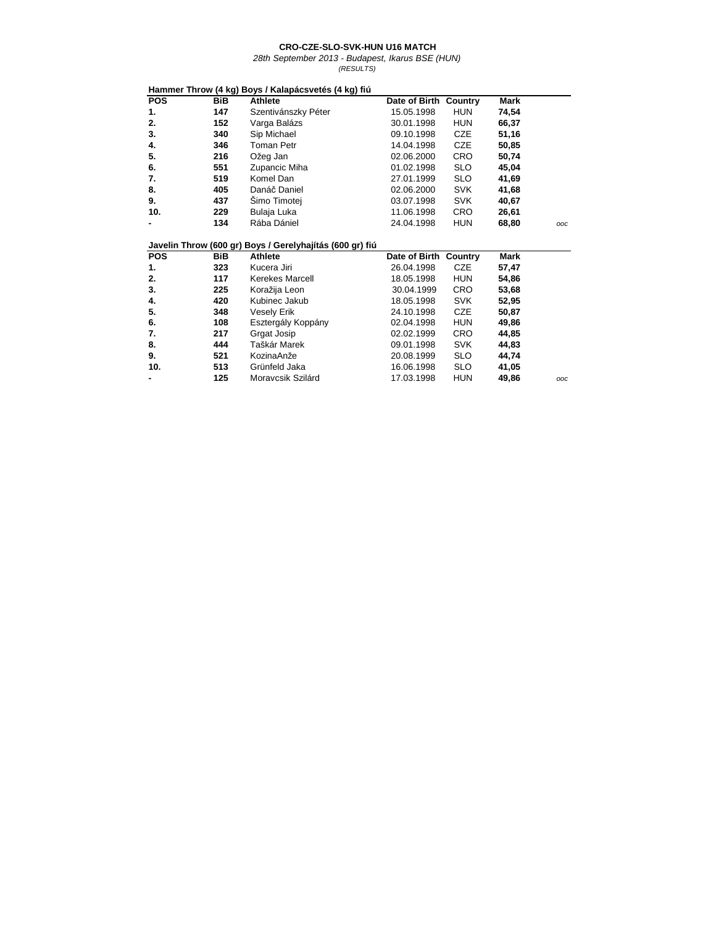|            |            | Hammer Throw (4 kg) Boys / Kalapácsvetés (4 kg) fiú      |                       |            |             |     |
|------------|------------|----------------------------------------------------------|-----------------------|------------|-------------|-----|
| <b>POS</b> | <b>BiB</b> | <b>Athlete</b>                                           | Date of Birth         | Country    | <b>Mark</b> |     |
| 1.         | 147        | Szentivánszky Péter                                      | 15.05.1998            | <b>HUN</b> | 74,54       |     |
| 2.         | 152        | Varga Balázs                                             | 30.01.1998            | <b>HUN</b> | 66,37       |     |
| 3.         | 340        | Sip Michael                                              | 09.10.1998            | <b>CZE</b> | 51,16       |     |
| 4.         | 346        | Toman Petr                                               | 14.04.1998            | <b>CZE</b> | 50,85       |     |
| 5.         | 216        | Ožeg Jan                                                 | 02.06.2000            | <b>CRO</b> | 50,74       |     |
| 6.         | 551        | Zupancic Miha                                            | 01.02.1998            | <b>SLO</b> | 45,04       |     |
| 7.         | 519        | Komel Dan                                                | 27.01.1999            | <b>SLO</b> | 41,69       |     |
| 8.         | 405        | Danáč Daniel                                             | 02.06.2000            | SVK        | 41,68       |     |
| 9.         | 437        | Simo Timotej                                             | 03.07.1998            | <b>SVK</b> | 40,67       |     |
| 10.        | 229        | Bulaja Luka                                              | 11.06.1998            | <b>CRO</b> | 26,61       |     |
|            | 134        | Rába Dániel                                              | 24.04.1998            | <b>HUN</b> | 68,80       | OOC |
|            |            | Javelin Throw (600 gr) Boys / Gerelyhajítás (600 gr) fiú |                       |            |             |     |
| <b>POS</b> | <b>BiB</b> | <b>Athlete</b>                                           | Date of Birth Country |            | <b>Mark</b> |     |
| 1.         | 323        | Kucera Jiri                                              | 26.04.1998            | <b>CZE</b> | 57,47       |     |
| 2.         | 117        | Kerekes Marcell                                          | 18.05.1998            | <b>HUN</b> | 54,86       |     |
| 3.         | 225        | Koražija Leon                                            | 30.04.1999            | <b>CRO</b> | 53,68       |     |
| 4.         | 420        | Kubinec Jakub                                            | 18.05.1998            | <b>SVK</b> | 52,95       |     |
| 5.         | 348        | <b>Vesely Erik</b>                                       | 24.10.1998            | <b>CZE</b> | 50,87       |     |
| 6.         | 108        | Esztergály Koppány                                       | 02.04.1998            | <b>HUN</b> | 49,86       |     |
| 7.         | 217        | Grgat Josip                                              | 02.02.1999            | <b>CRO</b> | 44,85       |     |
| 8.         | 444        | Taškár Marek                                             | 09.01.1998            | <b>SVK</b> | 44,83       |     |
| 9.         | 521        | KozinaAnže                                               | 20.08.1999            | <b>SLO</b> | 44,74       |     |
| 10.        | 513        | Grünfeld Jaka                                            | 16.06.1998            | <b>SLO</b> | 41,05       |     |
|            | 125        | Moravcsik Szilárd                                        | 17.03.1998            | <b>HUN</b> | 49,86       | OOC |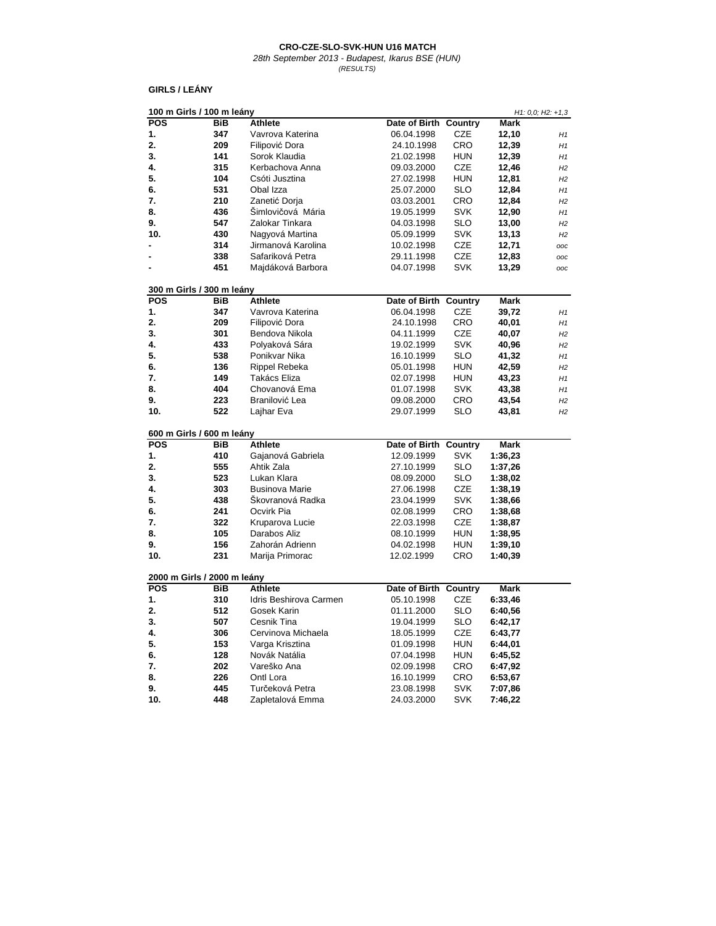28th September 2013 - Budapest, Ikarus BSE (HUN) (RESULTS)

### **GIRLS / LEÁNY**

| 100 m Girls / 100 m leány   |            |                        |                       |            |         | $H1: 0,0; H2: +1,3$ |
|-----------------------------|------------|------------------------|-----------------------|------------|---------|---------------------|
| <b>POS</b>                  | BiB        | Athlete                | Date of Birth Country |            | Mark    |                     |
| 1.                          | 347        | Vavrova Katerina       | 06.04.1998            | CZE        | 12,10   | H1                  |
| 2.                          | 209        | Filipović Dora         | 24.10.1998            | CRO        | 12,39   | H1                  |
| 3.                          | 141        | Sorok Klaudia          | 21.02.1998            | <b>HUN</b> | 12,39   | H1                  |
| 4.                          | 315        | Kerbachova Anna        | 09.03.2000            | CZE        | 12,46   | H2                  |
| 5.                          | 104        | Csóti Jusztina         | 27.02.1998            | <b>HUN</b> | 12,81   | H2                  |
| 6.                          | 531        | Obal Izza              | 25.07.2000            | <b>SLO</b> | 12,84   | H1                  |
| 7.                          | 210        | Zanetić Dorja          | 03.03.2001            | CRO        | 12,84   | H2                  |
| 8.                          | 436        | Šimlovičová Mária      | 19.05.1999            | <b>SVK</b> | 12,90   | H1                  |
| 9.                          | 547        | Zalokar Tinkara        | 04.03.1998            | SLO        | 13,00   | H2                  |
| 10.                         | 430        | Nagyová Martina        | 05.09.1999            | SVK        | 13,13   | H2                  |
|                             | 314        | Jirmanová Karolina     | 10.02.1998            | CZE        | 12,71   | ooc                 |
|                             | 338        | Safariková Petra       | 29.11.1998            | <b>CZE</b> | 12,83   | ooc                 |
| $\blacksquare$              | 451        | Majdáková Barbora      | 04.07.1998            | <b>SVK</b> | 13,29   | ooc                 |
|                             |            |                        |                       |            |         |                     |
| 300 m Girls / 300 m leány   |            |                        |                       |            |         |                     |
| <b>POS</b>                  | BiB        | Athlete                | Date of Birth         | Country    | Mark    |                     |
| 1.                          | 347        | Vavrova Katerina       | 06.04.1998            | CZE        | 39,72   | H1                  |
| 2.                          | 209        | Filipović Dora         | 24.10.1998            | CRO        | 40,01   | H1                  |
| 3.                          | 301        | Bendova Nikola         | 04.11.1999            | <b>CZE</b> | 40,07   | H2                  |
| 4.                          | 433        | Polyaková Sára         | 19.02.1999            | SVK        | 40,96   | H2                  |
| 5.                          | 538        | Ponikvar Nika          | 16.10.1999            | SLO        | 41,32   | H1                  |
| 6.                          | 136        | Rippel Rebeka          | 05.01.1998            | <b>HUN</b> | 42,59   | H2                  |
| 7.                          | 149        | Takács Eliza           | 02.07.1998            | HUN        | 43,23   | H1                  |
| 8.                          | 404        | Chovanová Ema          | 01.07.1998            | SVK        | 43,38   | H1                  |
| 9.                          | 223        | Branilović Lea         | 09.08.2000            | CRO        | 43,54   | H2                  |
| 10.                         | 522        | Lajhar Eva             | 29.07.1999            | SLO        | 43,81   | H2                  |
|                             |            |                        |                       |            |         |                     |
| 600 m Girls / 600 m leány   |            |                        |                       |            |         |                     |
| <b>POS</b>                  | <b>BiB</b> | Athlete                | Date of Birth         | Country    | Mark    |                     |
| 1.                          | 410        | Gajanová Gabriela      | 12.09.1999            | <b>SVK</b> | 1:36,23 |                     |
| 2.                          | 555        | Ahtik Zala             | 27.10.1999            | SLO        | 1:37,26 |                     |
| 3.                          | 523        | Lukan Klara            | 08.09.2000            | SLO        | 1:38,02 |                     |
| 4.                          | 303        | <b>Businova Marie</b>  | 27.06.1998            | CZE        | 1:38,19 |                     |
| 5.                          | 438        | Škovranová Radka       | 23.04.1999            | <b>SVK</b> | 1:38,66 |                     |
| 6.                          | 241        | Ocvirk Pia             | 02.08.1999            | CRO        | 1:38,68 |                     |
| 7.                          | 322        | Kruparova Lucie        | 22.03.1998            | <b>CZE</b> | 1:38,87 |                     |
| 8.                          | 105        | Darabos Aliz           | 08.10.1999            | <b>HUN</b> | 1:38,95 |                     |
| 9.                          | 156        | Zahorán Adrienn        | 04.02.1998            | <b>HUN</b> | 1:39,10 |                     |
| 10.                         | 231        | Marija Primorac        | 12.02.1999            | CRO        | 1:40,39 |                     |
|                             |            |                        |                       |            |         |                     |
| 2000 m Girls / 2000 m leány |            |                        |                       |            |         |                     |
| <b>POS</b>                  | <b>BiB</b> | Athlete                | Date of Birth         | Country    | Mark    |                     |
| 1.                          | 310        | Idris Beshirova Carmen | 05.10.1998            | <b>CZE</b> | 6:33,46 |                     |
| 2.                          | 512        | Gosek Karin            | 01.11.2000            | <b>SLO</b> | 6:40.56 |                     |
| 3.                          | 507        | Cesnik Tina            | 19.04.1999            | <b>SLO</b> | 6:42,17 |                     |
| 4.                          | 306        | Cervinova Michaela     | 18.05.1999            | CZE        | 6:43,77 |                     |
| 5.                          | 153        | Varga Krisztina        | 01.09.1998            | <b>HUN</b> | 6:44,01 |                     |
| 6.                          | 128        | Novák Natália          | 07.04.1998            | <b>HUN</b> | 6:45,52 |                     |
| 7.                          | 202        | Vareško Ana            | 02.09.1998            | CRO        | 6:47,92 |                     |
| 8.                          | 226        | Ontl Lora              | 16.10.1999            | CRO        | 6:53,67 |                     |
| 9.                          | 445        | Turčeková Petra        | 23.08.1998            | <b>SVK</b> | 7:07,86 |                     |
| 10.                         | 448        | Zapletalová Emma       | 24.03.2000            | <b>SVK</b> | 7:46,22 |                     |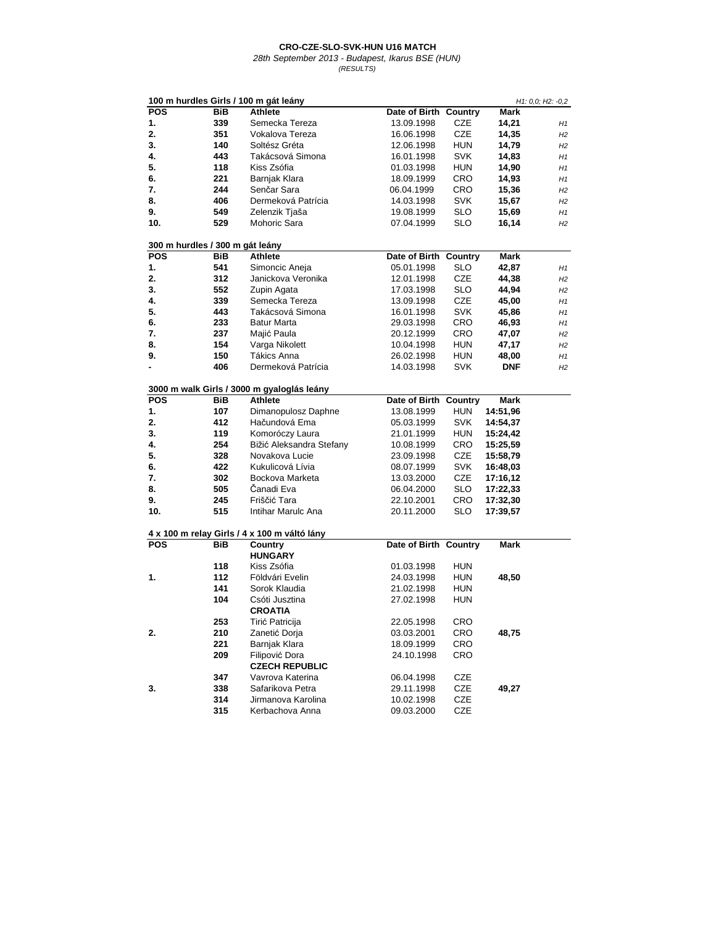| 100 m hurdles Girls / 100 m gát leány |            |                                              |                          |                   |          | H1: 0,0; H2: -0,2 |
|---------------------------------------|------------|----------------------------------------------|--------------------------|-------------------|----------|-------------------|
| <b>POS</b>                            | BiB        | Athlete                                      | Date of Birth Country    |                   | Mark     |                   |
| 1.                                    | 339        | Semecka Tereza                               | 13.09.1998               | CZE               | 14,21    | H1                |
| 2.                                    | 351        | Vokalova Tereza                              | 16.06.1998               | CZE               | 14,35    | H2                |
| 3.                                    | 140        | Soltész Gréta                                | 12.06.1998               | hun               | 14,79    | H2                |
| 4.                                    | 443        | Takácsová Simona                             | 16.01.1998               | <b>SVK</b>        | 14,83    | H1                |
| 5.                                    | 118        | Kiss Zsófia                                  | 01.03.1998               | HUN               | 14,90    | H1                |
| 6.                                    | 221        | Barnjak Klara                                | 18.09.1999               | CRO               | 14,93    | H1                |
| 7.                                    | 244        | Senčar Sara                                  | 06.04.1999               | CRO               | 15,36    | H2                |
| 8.                                    | 406        | Dermeková Patrícia                           | 14.03.1998               | <b>SVK</b>        | 15,67    | H2                |
| 9.                                    | 549        | Zelenzik Tjaša                               | 19.08.1999               | SLO               | 15,69    | H1                |
| 10.                                   | 529        | Mohoric Sara                                 | 07.04.1999               | SLO               | 16,14    | H2                |
| 300 m hurdles / 300 m gát leány       |            |                                              |                          |                   |          |                   |
| <b>POS</b>                            | BiB        | Athlete                                      | Date of Birth Country    |                   | Mark     |                   |
| 1.                                    | 541        | Simoncic Aneja                               | 05.01.1998               | SLO               | 42,87    | H1                |
| 2.                                    | 312        | Janickova Veronika                           | 12.01.1998               | CZE               | 44,38    | H2                |
| 3.                                    | 552        | Zupin Agata                                  | 17.03.1998               | SLO               | 44,94    | H2                |
| 4.                                    | 339        | Semecka Tereza                               | 13.09.1998               | CZE               | 45,00    | H1                |
| 5.                                    | 443        | Takácsová Simona                             | 16.01.1998               | <b>SVK</b>        | 45,86    | H1                |
| 6.                                    | 233        | <b>Batur Marta</b>                           | 29.03.1998               | CRO               | 46,93    | H1                |
| 7.                                    | 237        | Majić Paula                                  | 20.12.1999               | CRO               | 47,07    | H2                |
| 8.                                    | 154        | Varga Nikolett                               | 10.04.1998               | HUN               | 47,17    | H2                |
| 9.                                    | 150        | Tákics Anna                                  | 26.02.1998               | hun               | 48,00    | H1                |
| $\blacksquare$                        | 406        | Dermeková Patrícia                           | 14.03.1998               | SVK               | DNF      | H2                |
|                                       |            | 3000 m walk Girls / 3000 m gyaloglás leány   |                          |                   |          |                   |
| <b>POS</b>                            | BiB        | Athlete                                      | Date of Birth Country    |                   | Mark     |                   |
|                                       |            |                                              |                          |                   | 14:51,96 |                   |
| 1.<br>2.                              | 107<br>412 | Dimanopulosz Daphne                          | 13.08.1999               | HUN               | 14:54,37 |                   |
| 3.                                    | 119        | Hačundová Ema<br>Komoróczy Laura             | 05.03.1999               | <b>SVK</b><br>HUN |          |                   |
| 4.                                    | 254        | Bižić Aleksandra Stefany                     | 21.01.1999<br>10.08.1999 | CRO               | 15:24,42 |                   |
| 5.                                    | 328        | Novakova Lucie                               |                          | CZE               | 15:25,59 |                   |
|                                       | 422        | Kukulicová Lívia                             | 23.09.1998               |                   | 15:58,79 |                   |
| 6.<br>7.                              | 302        | Bockova Marketa                              | 08.07.1999               | <b>SVK</b>        | 16:48,03 |                   |
|                                       |            | Čanadi Eva                                   | 13.03.2000               | CZE               | 17:16,12 |                   |
| 8.                                    | 505        | Friščić Tara                                 | 06.04.2000               | <b>SLO</b>        | 17:22,33 |                   |
| 9.<br>10.                             | 245<br>515 | Intihar Marulc Ana                           | 22.10.2001<br>20.11.2000 | CRO<br>SLO        | 17:32,30 |                   |
|                                       |            |                                              |                          |                   | 17:39,57 |                   |
|                                       |            | 4 x 100 m relay Girls / 4 x 100 m váltó lány |                          |                   |          |                   |
| <b>POS</b>                            | BiB        | Country                                      | Date of Birth Country    |                   | Mark     |                   |
|                                       |            | <b>HUNGARY</b>                               |                          |                   |          |                   |
|                                       | 118        | Kiss Zsófia                                  | 01.03.1998               | hun               |          |                   |
| 1.                                    | 112        | Földvári Evelin                              | 24.03.1998               | HUN               | 48,50    |                   |
|                                       | 141        | Sorok Klaudia                                | 21.02.1998               | <b>HUN</b>        |          |                   |
|                                       | 104        | Csóti Jusztina                               | 27.02.1998               | <b>HUN</b>        |          |                   |
|                                       |            | <b>CROATIA</b>                               |                          |                   |          |                   |
|                                       | 253        | Tirić Patricija                              | 22.05.1998               | CRO               |          |                   |
| 2.                                    | 210        | Zanetić Dorja                                | 03.03.2001               | <b>CRO</b>        | 48,75    |                   |
|                                       | 221        | Barnjak Klara                                | 18.09.1999               | CRO               |          |                   |
|                                       | 209        | Filipović Dora                               | 24.10.1998               | CRO               |          |                   |
|                                       |            | <b>CZECH REPUBLIC</b>                        |                          |                   |          |                   |
|                                       | 347        | Vavrova Katerina                             | 06.04.1998               | CZE               |          |                   |
| 3.                                    | 338        | Safarikova Petra                             | 29.11.1998               | CZE               | 49,27    |                   |
|                                       | 314        | Jirmanova Karolina                           | 10.02.1998               | CZE               |          |                   |
|                                       | 315        | Kerbachova Anna                              | 09.03.2000               | CZE               |          |                   |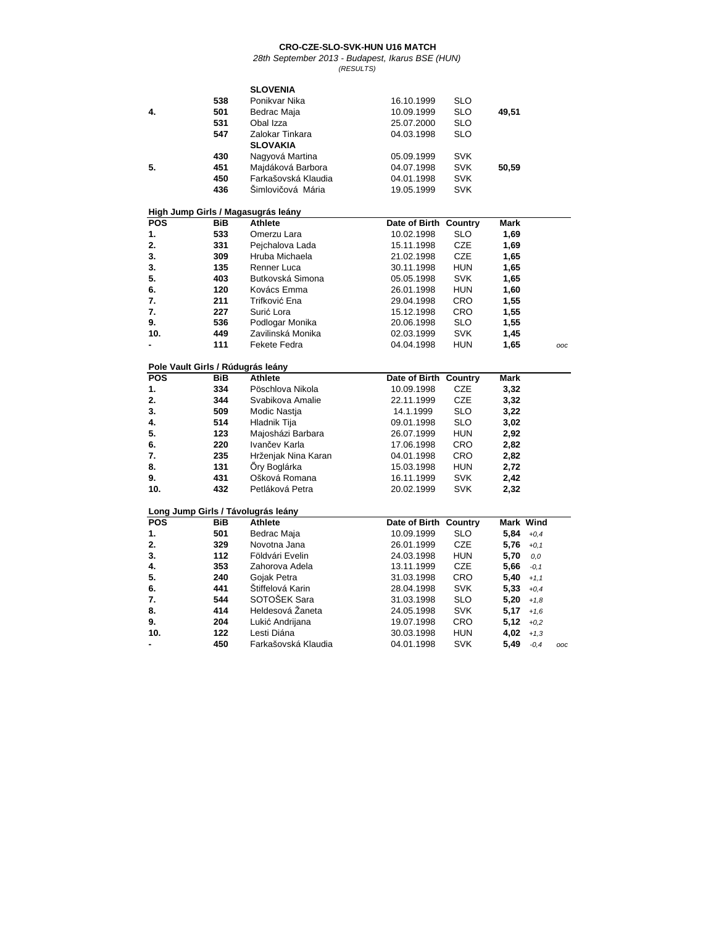|                                    |            | <b>SLOVENIA</b>                    |                       |            |             |           |     |
|------------------------------------|------------|------------------------------------|-----------------------|------------|-------------|-----------|-----|
|                                    | 538        | Ponikvar Nika                      | 16.10.1999            | SLO        |             |           |     |
| 4.                                 | 501        | Bedrac Maja                        | 10.09.1999            | <b>SLO</b> | 49,51       |           |     |
|                                    | 531        | Obal Izza                          | 25.07.2000            | SLO        |             |           |     |
|                                    | 547        | Zalokar Tinkara                    | 04.03.1998            | <b>SLO</b> |             |           |     |
|                                    |            | <b>SLOVAKIA</b>                    |                       |            |             |           |     |
|                                    | 430        | Nagyová Martina                    | 05.09.1999            | SVK        |             |           |     |
| 5.                                 | 451        | Majdáková Barbora                  | 04.07.1998            | <b>SVK</b> | 50,59       |           |     |
|                                    | 450        | Farkašovská Klaudia                | 04.01.1998            | SVK        |             |           |     |
|                                    | 436        | Šimlovičová Mária                  | 19.05.1999            | <b>SVK</b> |             |           |     |
|                                    |            |                                    |                       |            |             |           |     |
|                                    |            | High Jump Girls / Magasugrás leány |                       |            |             |           |     |
| <b>POS</b>                         | BiB        | <b>Athlete</b>                     | Date of Birth Country |            | <b>Mark</b> |           |     |
| 1.                                 | 533        | Omerzu Lara                        | 10.02.1998            | SLO        | 1,69        |           |     |
| 2.                                 | 331        | Pejchalova Lada                    | 15.11.1998            | <b>CZE</b> | 1,69        |           |     |
| 3.                                 | 309        | Hruba Michaela                     | 21.02.1998            | <b>CZE</b> | 1,65        |           |     |
| 3.                                 | 135        | Renner Luca                        | 30.11.1998            | <b>HUN</b> | 1,65        |           |     |
| 5.                                 | 403        | Butkovská Simona                   | 05.05.1998            | SVK        | 1,65        |           |     |
| 6.                                 | 120        | Kovács Emma                        | 26.01.1998            | <b>HUN</b> | 1,60        |           |     |
| 7.                                 | 211        | Trifković Ena                      | 29.04.1998            | CRO        | 1,55        |           |     |
| 7.                                 | 227        | Surić Lora                         | 15.12.1998            | CRO        | 1,55        |           |     |
| 9.                                 | 536        | Podlogar Monika                    | 20.06.1998            | SLO        | 1,55        |           |     |
| 10.                                | 449        | Zavilinská Monika                  | 02.03.1999            | <b>SVK</b> | 1,45        |           |     |
|                                    | 111        | Fekete Fedra                       | 04.04.1998            | <b>HUN</b> | 1,65        |           | ooc |
|                                    |            |                                    |                       |            |             |           |     |
| Pole Vault Girls / Rúdugrás leány  |            |                                    |                       |            |             |           |     |
| <b>POS</b>                         | <b>BiB</b> | <b>Athlete</b>                     | Date of Birth Country |            | <b>Mark</b> |           |     |
| 1.                                 | 334        | Pöschlova Nikola                   | 10.09.1998            | <b>CZE</b> | 3,32        |           |     |
| 2.                                 | 344        | Svabikova Amalie                   | 22.11.1999            | <b>CZE</b> | 3,32        |           |     |
| 3.                                 | 509        | Modic Nastja                       | 14.1.1999             | SLO        | 3,22        |           |     |
| 4.                                 | 514        | Hladnik Tija                       | 09.01.1998            | SLO        | 3,02        |           |     |
| 5.                                 | 123        | Majosházi Barbara                  | 26.07.1999            | <b>HUN</b> | 2,92        |           |     |
| 6.                                 | 220        | Ivančev Karla                      | 17.06.1998            | <b>CRO</b> | 2,82        |           |     |
| 7.                                 | 235        | Hrženjak Nina Karan                | 04.01.1998            | <b>CRO</b> | 2,82        |           |     |
| 8.                                 | 131        | Őry Boglárka                       | 15.03.1998            | <b>HUN</b> | 2,72        |           |     |
| 9.                                 | 431        | Ošková Romana                      | 16.11.1999            | <b>SVK</b> | 2,42        |           |     |
| 10.                                | 432        | Petláková Petra                    | 20.02.1999            | <b>SVK</b> | 2,32        |           |     |
| Long Jump Girls / Távolugrás leány |            |                                    |                       |            |             |           |     |
| <b>POS</b>                         | BiB        | Athlete                            | Date of Birth Country |            |             | Mark Wind |     |
| 1.                                 | 501        | Bedrac Maja                        | 10.09.1999            | <b>SLO</b> | 5,84        | $+0.4$    |     |
| 2.                                 | 329        | Novotna Jana                       | 26.01.1999            | <b>CZE</b> | 5,76        | $+0,1$    |     |
| 3.                                 | 112        | Földvári Evelin                    | 24.03.1998            | <b>HUN</b> | 5,70        | 0,0       |     |
| 4.                                 | 353        | Zahorova Adela                     | 13.11.1999            | <b>CZE</b> | 5,66        | $-0,1$    |     |
| 5.                                 | 240        | Gojak Petra                        | 31.03.1998            | <b>CRO</b> | 5,40        | $+1,1$    |     |
| 6.                                 | 441        | Štiffelová Karin                   | 28.04.1998            | <b>SVK</b> | 5,33        | $+0,4$    |     |
| 7.                                 | 544        | SOTOŠEK Sara                       | 31.03.1998            | <b>SLO</b> | 5,20        | $+1,8$    |     |
| 8.                                 | 414        | Heldesová Žaneta                   | 24.05.1998            | <b>SVK</b> | 5,17        | $+1,6$    |     |
| 9.                                 | 204        | Lukić Andrijana                    | 19.07.1998            | <b>CRO</b> | 5,12        | $+0.2$    |     |
| 10.                                | 122        | Lesti Diána                        | 30.03.1998            | <b>HUN</b> | 4,02        | $+1,3$    |     |
| ۰                                  | 450        | Farkašovská Klaudia                | 04.01.1998            | <b>SVK</b> | 5,49        | $-0.4$    | OOC |
|                                    |            |                                    |                       |            |             |           |     |